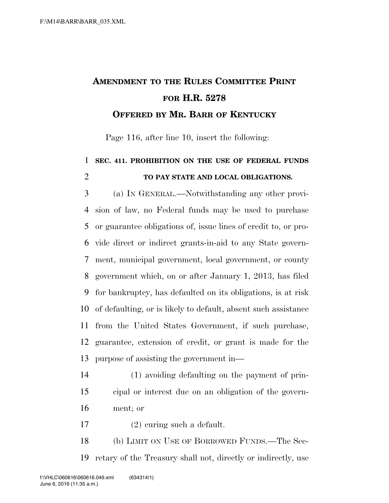## **AMENDMENT TO THE RULES COMMITTEE PRINT FOR H.R. 5278 OFFERED BY MR. BARR OF KENTUCKY**

Page 116, after line 10, insert the following:

## **SEC. 411. PROHIBITION ON THE USE OF FEDERAL FUNDS TO PAY STATE AND LOCAL OBLIGATIONS.**

 (a) IN GENERAL.—Notwithstanding any other provi- sion of law, no Federal funds may be used to purchase or guarantee obligations of, issue lines of credit to, or pro- vide direct or indirect grants-in-aid to any State govern- ment, municipal government, local government, or county government which, on or after January 1, 2013, has filed for bankruptcy, has defaulted on its obligations, is at risk of defaulting, or is likely to default, absent such assistance from the United States Government, if such purchase, guarantee, extension of credit, or grant is made for the purpose of assisting the government in—

 (1) avoiding defaulting on the payment of prin- cipal or interest due on an obligation of the govern-ment; or

(2) curing such a default.

 (b) LIMIT ON USE OF BORROWED FUNDS.—The Sec-retary of the Treasury shall not, directly or indirectly, use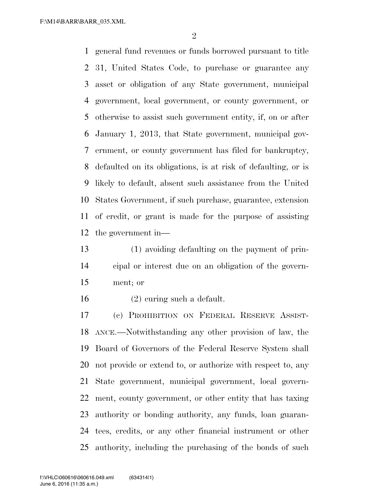F:\M14\BARR\BARR\_035.XML

 general fund revenues or funds borrowed pursuant to title 31, United States Code, to purchase or guarantee any asset or obligation of any State government, municipal government, local government, or county government, or otherwise to assist such government entity, if, on or after January 1, 2013, that State government, municipal gov- ernment, or county government has filed for bankruptcy, defaulted on its obligations, is at risk of defaulting, or is likely to default, absent such assistance from the United States Government, if such purchase, guarantee, extension of credit, or grant is made for the purpose of assisting the government in—

 (1) avoiding defaulting on the payment of prin- cipal or interest due on an obligation of the govern-ment; or

(2) curing such a default.

 (c) PROHIBITION ON FEDERAL RESERVE ASSIST- ANCE.—Notwithstanding any other provision of law, the Board of Governors of the Federal Reserve System shall not provide or extend to, or authorize with respect to, any State government, municipal government, local govern- ment, county government, or other entity that has taxing authority or bonding authority, any funds, loan guaran- tees, credits, or any other financial instrument or other authority, including the purchasing of the bonds of such